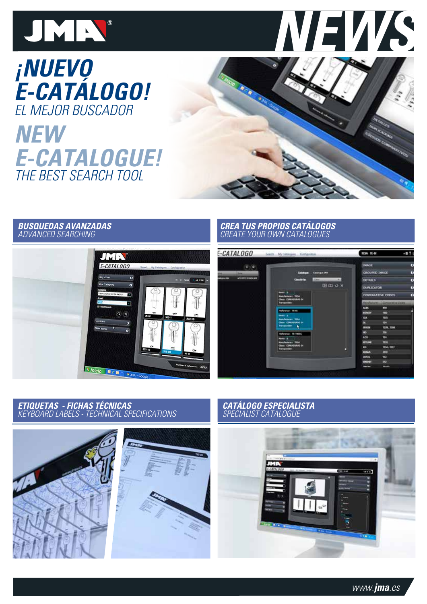



# **¡NUEVO E-CATÁLOGO!** el mejor buscador

# The best search tool **NEW E-CATALOGUE!**



### **BUSQUEDAS AVANZADAS** ADVANCED SEARCHING



### **CRea tus propios catÁlogos** create your own catalogues



### **ETIQUETAS - FICHAS TÉCNICAS** KEYBOARD LABELS - TECHNICAL SPECIFICATIONS



# **CATÁLOGO ESPECIALISTA** SPECIALIST CATALOGU

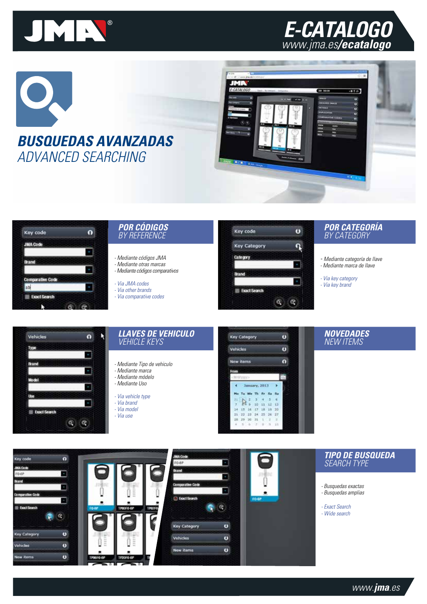

# **E-CATALOGO** www.jma.es**/ecatalogo**







## **por códigos** BY REFERENCE

- Mediante códigos JMA - Mediante otras marcas - Mediante códigos comparativos

- Via JMA codes

- Via other brands - Via comparative codes
- 



### **por categoría** BY CATEGORY

- Mediante categoría de llave - Mediante marca de llave

- Via key category - Via key brand



### **llaves de vehiculo** vehicle keys

- Mediante Tipo de vehiculo
- Mediante marca - Mediante módelo
- Mediante Uso
- Via vehicle type
- Via brand
- Via model
- Via use



## **NC** NEW ITEI

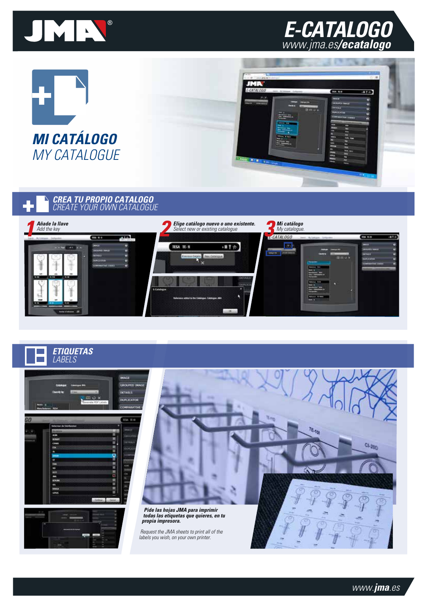